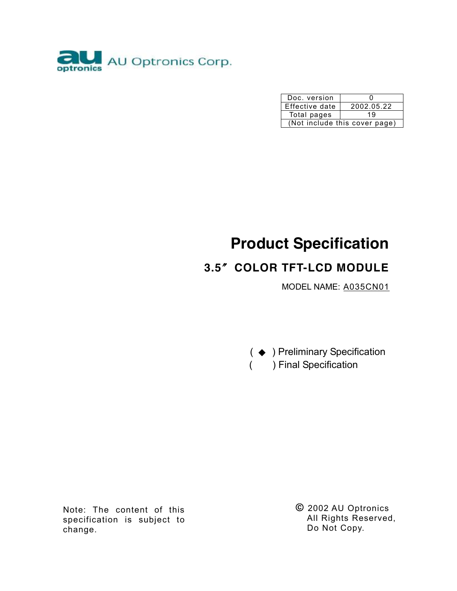

| Doc. version                  | .,         |  |  |  |  |
|-------------------------------|------------|--|--|--|--|
| Effective date                | 2002.05.22 |  |  |  |  |
| Total pages                   | 19         |  |  |  |  |
| (Not include this cover page) |            |  |  |  |  |

# **Product Specification**

# **3.5**〞**COLOR TFT-LCD MODULE**

MODEL NAME: A035CN01



Note: The content of this specification is subject to change.

**©** 2002 AU Optronics All Rights Reserved, Do Not Copy.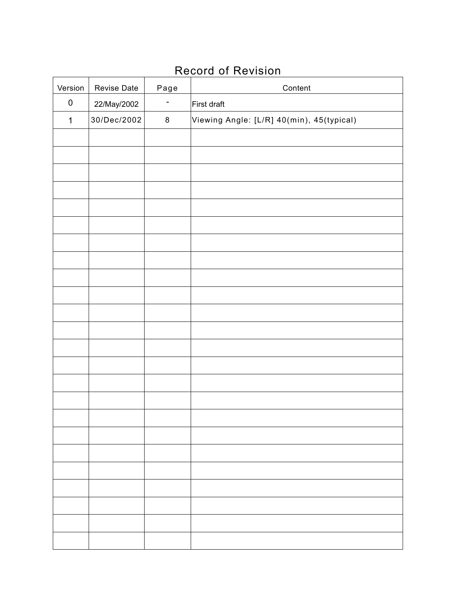# Record of Revision

| Version     | Revise Date | Page    | Content                                   |  |  |
|-------------|-------------|---------|-------------------------------------------|--|--|
| $\pmb{0}$   | 22/May/2002 | ۳       | First draft                               |  |  |
| $\mathbf 1$ | 30/Dec/2002 | $\bf 8$ | Viewing Angle: [L/R] 40(min), 45(typical) |  |  |
|             |             |         |                                           |  |  |
|             |             |         |                                           |  |  |
|             |             |         |                                           |  |  |
|             |             |         |                                           |  |  |
|             |             |         |                                           |  |  |
|             |             |         |                                           |  |  |
|             |             |         |                                           |  |  |
|             |             |         |                                           |  |  |
|             |             |         |                                           |  |  |
|             |             |         |                                           |  |  |
|             |             |         |                                           |  |  |
|             |             |         |                                           |  |  |
|             |             |         |                                           |  |  |
|             |             |         |                                           |  |  |
|             |             |         |                                           |  |  |
|             |             |         |                                           |  |  |
|             |             |         |                                           |  |  |
|             |             |         |                                           |  |  |
|             |             |         |                                           |  |  |
|             |             |         |                                           |  |  |
|             |             |         |                                           |  |  |
|             |             |         |                                           |  |  |
|             |             |         |                                           |  |  |
|             |             |         |                                           |  |  |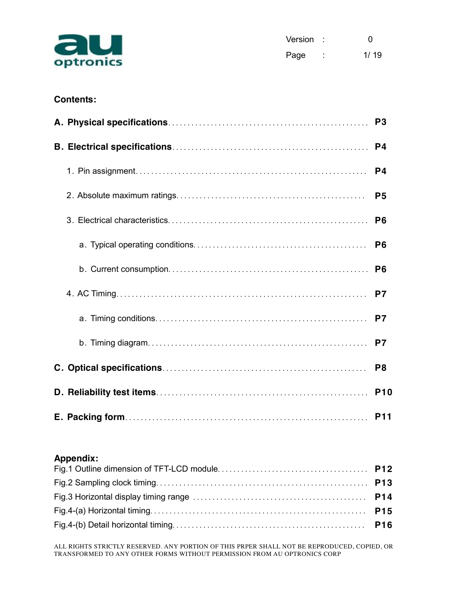

| Version : |        | O    |
|-----------|--------|------|
| Page      | ۰<br>٠ | 1/19 |

# **Contents:**

|  | P <sub>3</sub> |
|--|----------------|
|  | P <sub>4</sub> |
|  | P <sub>4</sub> |
|  | P <sub>5</sub> |
|  | P <sub>6</sub> |
|  | P <sub>6</sub> |
|  | P <sub>6</sub> |
|  | P7             |
|  | P7             |
|  | P7             |
|  | P <sub>8</sub> |
|  | <b>P10</b>     |
|  | <b>P11</b>     |

# **Appendix:**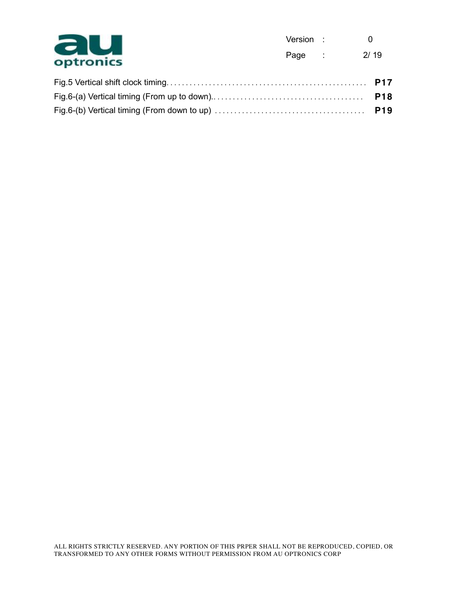

| Version : |        | n    |
|-----------|--------|------|
| Page      | ٠<br>٠ | 2/19 |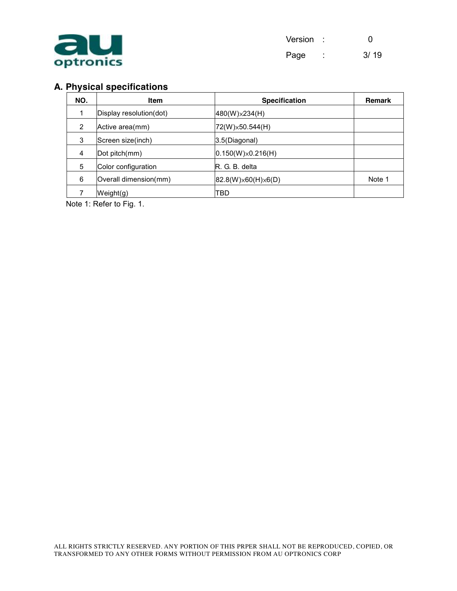

| Version : |   | O    |
|-----------|---|------|
| Page      | ٠ | 3/19 |

# **A. Physical specifications**

| NO. | ltem                    | <b>Specification</b>      | <b>Remark</b> |
|-----|-------------------------|---------------------------|---------------|
|     | Display resolution(dot) | 480(W)×234(H)             |               |
| 2   | Active area(mm)         | 72(W)×50.544(H)           |               |
| 3   | Screen size(inch)       | 3.5(Diagonal)             |               |
| 4   | Dot pitch(mm)           | $0.150(W)\times 0.216(H)$ |               |
| 5   | Color configuration     | IR. G. B. delta           |               |
| 6   | Overall dimension(mm)   | 82.8(W)×60(H)×6(D)        | Note 1        |
|     | Weight(g)               | TBD                       |               |

Note 1: Refer to Fig. 1.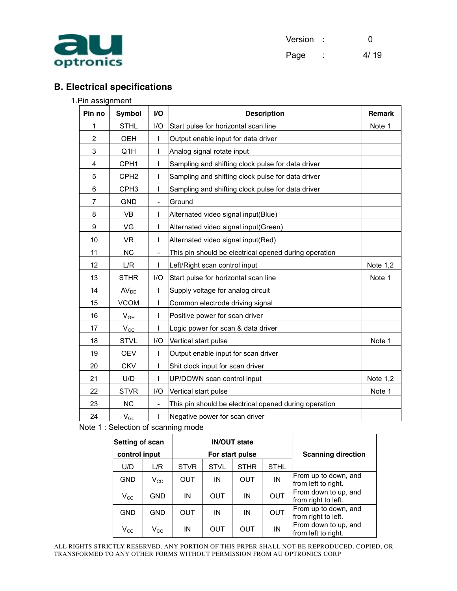

| Version : |   | O    |
|-----------|---|------|
| Page      | ٠ | 4/19 |

# **B. Electrical specifications**

#### 1.Pin assignment

| Pin no         | <b>Symbol</b>    | I/O                      | <b>Description</b>                                    | <b>Remark</b> |
|----------------|------------------|--------------------------|-------------------------------------------------------|---------------|
| 1              | <b>STHL</b>      | 1/O                      | Start pulse for horizontal scan line                  | Note 1        |
| $\overline{2}$ | OEH              | $\mathbf{I}$             | Output enable input for data driver                   |               |
| 3              | Q <sub>1</sub> H | $\mathbf{I}$             | Analog signal rotate input                            |               |
| 4              | CPH <sub>1</sub> | $\mathbf{I}$             | Sampling and shifting clock pulse for data driver     |               |
| 5              | CPH <sub>2</sub> | $\mathbf{I}$             | Sampling and shifting clock pulse for data driver     |               |
| 6              | CPH <sub>3</sub> | I.                       | Sampling and shifting clock pulse for data driver     |               |
| 7              | <b>GND</b>       | $\overline{\phantom{a}}$ | Ground                                                |               |
| 8              | <b>VB</b>        | $\mathbf{I}$             | Alternated video signal input(Blue)                   |               |
| 9              | VG               | <b>I</b>                 | Alternated video signal input(Green)                  |               |
| 10             | <b>VR</b>        |                          | Alternated video signal input(Red)                    |               |
| 11             | <b>NC</b>        | $\overline{\phantom{a}}$ | This pin should be electrical opened during operation |               |
| 12             | L/R              |                          | Left/Right scan control input                         | Note $1,2$    |
| 13             | <b>STHR</b>      | I/O                      | Start pulse for horizontal scan line<br>Note 1        |               |
| 14             | AV <sub>DD</sub> |                          | Supply voltage for analog circuit                     |               |
| 15             | <b>VCOM</b>      | $\mathbf{I}$             | Common electrode driving signal                       |               |
| 16             | $V_{GH}$         | L                        | Positive power for scan driver                        |               |
| 17             | $V_{\rm CC}$     |                          | Logic power for scan & data driver                    |               |
| 18             | <b>STVL</b>      | I/O                      | Vertical start pulse                                  | Note 1        |
| 19             | <b>OEV</b>       | $\mathbf{I}$             | Output enable input for scan driver                   |               |
| 20             | <b>CKV</b>       | $\mathbf{I}$             | Shit clock input for scan driver                      |               |
| 21             | U/D              |                          | UP/DOWN scan control input                            | Note $1,2$    |
| 22             | <b>STVR</b>      | I/O                      | Vertical start pulse                                  | Note 1        |
| 23             | NC               | $\overline{\phantom{a}}$ | This pin should be electrical opened during operation |               |
| 24             | $V_{GL}$         | T                        | Negative power for scan driver                        |               |

Note 1 : Selection of scanning mode

| <b>Setting of scan</b>           |              | <b>IN/OUT state</b> |                           |             |             |                                             |  |  |
|----------------------------------|--------------|---------------------|---------------------------|-------------|-------------|---------------------------------------------|--|--|
| control input<br>For start pulse |              |                     | <b>Scanning direction</b> |             |             |                                             |  |  |
| U/D                              | L/R          | <b>STVR</b>         | <b>STVL</b>               | <b>STHR</b> | <b>STHL</b> |                                             |  |  |
| <b>GND</b>                       | $\rm V_{CC}$ | <b>OUT</b>          | IN                        | <b>OUT</b>  | IN          | From up to down, and<br>from left to right. |  |  |
| $V_{\rm CC}$                     | GND          | IN                  | <b>OUT</b>                | IN          | <b>OUT</b>  | From down to up, and<br>from right to left. |  |  |
| <b>GND</b>                       | GND          | <b>OUT</b>          | IN                        | IN          | <b>OUT</b>  | From up to down, and<br>from right to left. |  |  |
| $\mathsf{V}_{\mathsf{CC}}$       | $V_{\rm CC}$ | ΙN                  | OUT                       | OUT         | IN          | From down to up, and<br>from left to right. |  |  |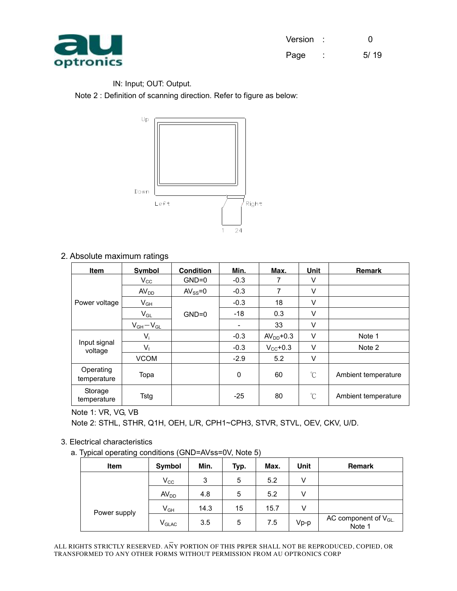

| Version : |        | O    |
|-----------|--------|------|
| Page      | ۰<br>٠ | 5/19 |

#### IN: Input; OUT: Output.

Note 2 : Definition of scanning direction. Refer to figure as below:



### 2. Absolute maximum ratings

| Item                     | <b>Symbol</b>    | <b>Condition</b> | Min.   | Max.                 | Unit     | <b>Remark</b>       |
|--------------------------|------------------|------------------|--------|----------------------|----------|---------------------|
|                          | $V_{\rm CC}$     | $GND=0$          | $-0.3$ | 7                    | V        |                     |
|                          | AV <sub>DD</sub> | $AV_{SS} = 0$    | $-0.3$ | 7                    | V        |                     |
| Power voltage            | $V_{GH}$         |                  | $-0.3$ | 18                   | V        |                     |
|                          | $V_{GL}$         | $GND=0$          | $-18$  | 0.3                  | V        |                     |
|                          | $V_{GH}-V_{GL}$  |                  | ٠      | 33                   | V        |                     |
|                          | $V_i$            |                  | $-0.3$ | $AVDD+0.3$           | V        | Note 1              |
| Input signal<br>voltage  | Vı               |                  | $-0.3$ | $V_{\text{CC}}$ +0.3 | V        | Note 2              |
|                          | <b>VCOM</b>      |                  | $-2.9$ | 5.2                  | $\vee$   |                     |
| Operating<br>temperature | Topa             |                  | 0      | 60                   | $\rm{C}$ | Ambient temperature |
| Storage<br>temperature   | Tstg             |                  | $-25$  | 80                   | $\rm{C}$ | Ambient temperature |

Note 1: VR, VG, VB

Note 2: STHL, STHR, Q1H, OEH, L/R, CPH1~CPH3, STVR, STVL, OEV, CKV, U/D.

#### 3. Electrical characteristics

a. Typical operating conditions (GND=AVss=0V, Note 5)

| . .<br><b>Item</b> | Symbol                       | Min. | Typ. | Max. | Unit   | <b>Remark</b>                       |
|--------------------|------------------------------|------|------|------|--------|-------------------------------------|
|                    | $V_{\rm CC}$                 | 3    | 5    | 5.2  | V      |                                     |
|                    | AV <sub>DD</sub>             | 4.8  | 5    | 5.2  | V      |                                     |
| Power supply       | $V_{GH}$                     | 14.3 | 15   | 15.7 | V      |                                     |
|                    | $\mathsf{V}_{\mathsf{GLAC}}$ | 3.5  | 5    | 7.5  | $Vp-p$ | AC component of $V_{GL.}$<br>Note 1 |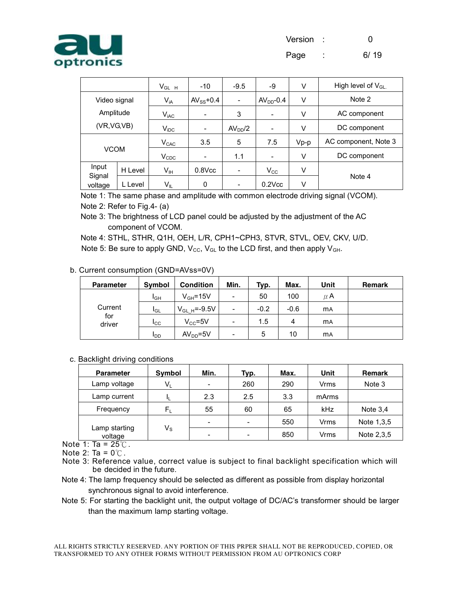

|                            |                               | $V_{GLH}$                   | $-10$                    | $-9.5$                   | -9           | V      | High level of $V_{GL}$ |
|----------------------------|-------------------------------|-----------------------------|--------------------------|--------------------------|--------------|--------|------------------------|
| Video signal               |                               | $V_{iA}$                    | $AV_{SS}$ +0.4           | $\overline{\phantom{a}}$ | $AVDD - 0.4$ | V      | Note 2                 |
|                            | Amplitude<br>$V_{\text{iAC}}$ |                             | $\overline{\phantom{a}}$ | 3                        | ٠            | V      | AC component           |
| (VR, VG, VB)               |                               | $V_{\text{IDC}}$            | -                        | AV <sub>DD</sub> /2      | -            | V      | DC component           |
|                            |                               | $V_{CAC}$                   | 3.5                      | 5                        | 7.5          | $Vp-p$ | AC component, Note 3   |
| <b>VCOM</b>                |                               | $\mathsf{V}_{\texttt{CDC}}$ | -                        | 1.1                      | -            | V      | DC component           |
| Input<br>Signal<br>voltage | H Level                       | V <sub>IH</sub>             | $0.8$ Vcc                | $\overline{\phantom{a}}$ | $V_{\rm CC}$ | V      |                        |
|                            | L Level                       | $V_{IL}$                    | 0                        | $\overline{\phantom{a}}$ | $0.2$ Vcc    | V      | Note 4                 |

Note 1: The same phase and amplitude with common electrode driving signal (VCOM). Note 2: Refer to Fig.4- (a)

Note 3: The brightness of LCD panel could be adjusted by the adjustment of the AC component of VCOM.

Note 4: STHL, STHR, Q1H, OEH, L/R, CPH1~CPH3, STVR, STVL, OEV, CKV, U/D. Note 5: Be sure to apply GND,  $V_{\text{CC}}$ ,  $V_{\text{GL}}$  to the LCD first, and then apply  $V_{\text{GH}}$ .

| <b>Parameter</b> | Symbol          | <b>Condition</b>  | Min.                     | Typ.   | Max.   | Unit      | <b>Remark</b> |
|------------------|-----------------|-------------------|--------------------------|--------|--------|-----------|---------------|
| Current          | IGН             | $V_{GH} = 15V$    | $\overline{\phantom{a}}$ | 50     | 100    | $\mu$ A   |               |
|                  | <b>I</b> GL     | $V_{GL H}$ =-9.5V | $\overline{\phantom{a}}$ | $-0.2$ | $-0.6$ | <b>MA</b> |               |
| for<br>driver    | I <sub>CC</sub> | $V_{CC} = 5V$     | $\overline{\phantom{a}}$ | 1.5    | 4      | <b>MA</b> |               |
|                  | I <sub>DD</sub> | $AVDD=5V$         | -                        | 5      | 10     | <b>MA</b> |               |

#### b. Current consumption (GND=AVss=0V)

#### c. Backlight driving conditions

| <b>Parameter</b>         | <b>Symbol</b>           | Min.                     | Typ.                     | Max. | Unit  | <b>Remark</b> |
|--------------------------|-------------------------|--------------------------|--------------------------|------|-------|---------------|
| Lamp voltage             | $V_L$                   | $\overline{\phantom{0}}$ | 260                      | 290  | Vrms  | Note 3        |
| Lamp current             | ш                       | 2.3                      | 2.5                      | 3.3  | mArms |               |
| Frequency                | $\mathsf{F}_\mathsf{L}$ | 55                       | 60                       | 65   | kHz   | Note $3.4$    |
|                          |                         | $\overline{\phantom{0}}$ | $\overline{\phantom{0}}$ | 550  | Vrms  | Note 1,3,5    |
| Lamp starting<br>voltage | $\mathsf{V}_\mathsf{S}$ | $\overline{\phantom{0}}$ | $\overline{\phantom{0}}$ | 850  | Vrms  | Note 2,3,5    |

Note  $1:$  Ta = 25°C.

Note 2: Ta =  $0^{\circ}$ C.

- Note 3: Reference value, correct value is subject to final backlight specification which will be decided in the future.
- Note 4: The lamp frequency should be selected as different as possible from display horizontal synchronous signal to avoid interference.
- Note 5: For starting the backlight unit, the output voltage of DC/AC's transformer should be larger than the maximum lamp starting voltage.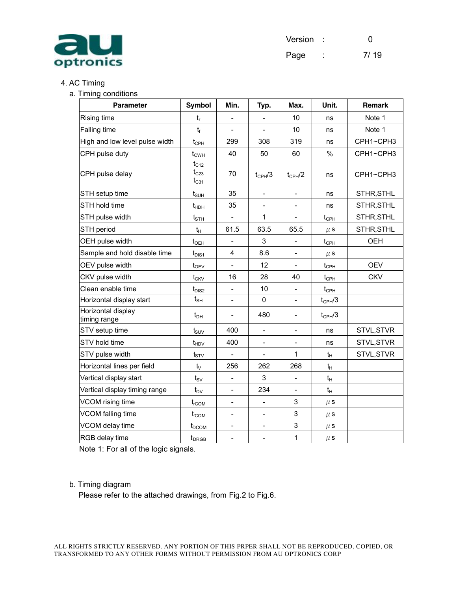

| Version | O    |
|---------|------|
| Page    | 7/19 |

## 4. AC Timing

#### a. Timing conditions

| <b>Parameter</b>                   | Symbol                              | Min.                     | Typ.                     | Max.                     | Unit.                                  | Remark     |
|------------------------------------|-------------------------------------|--------------------------|--------------------------|--------------------------|----------------------------------------|------------|
| Rising time                        | t,                                  | -                        | $\overline{\phantom{a}}$ | 10                       | ns                                     | Note 1     |
| <b>Falling time</b>                | $t_f$                               | $\overline{\phantom{0}}$ | $\overline{\phantom{a}}$ | 10                       | ns                                     | Note 1     |
| High and low level pulse width     | $t_{\text{CPH}}$                    | 299                      | 308                      | 319                      | ns                                     | CPH1~CPH3  |
| CPH pulse duty                     | $t_{CWH}$                           | 40                       | 50                       | 60                       | %                                      | CPH1~CPH3  |
| CPH pulse delay                    | $t_{C12}$<br>$t_{C23}$<br>$t_{C31}$ | 70                       | $t_{CPH}/3$              | $t_{CPH}/2$              | ns                                     | CPH1~CPH3  |
| STH setup time                     | $t_{\text{SUH}}$                    | 35                       | $\blacksquare$           | $\overline{\phantom{a}}$ | ns                                     | STHR, STHL |
| STH hold time                      | $t_{HDH}$                           | 35                       | $\overline{\phantom{a}}$ | $\overline{\phantom{0}}$ | ns                                     | STHR, STHL |
| STH pulse width                    | tsth                                |                          | 1                        |                          | $t_{\text{CPH}}$                       | STHR, STHL |
| STH period                         | $t_H$                               | 61.5                     | 63.5                     | 65.5                     | $\mu$ S                                | STHR, STHL |
| OEH pulse width                    | $t_{\text{OEH}}$                    |                          | 3                        |                          | $t_{\scriptscriptstyle{\mathrm{CPH}}}$ | <b>OEH</b> |
| Sample and hold disable time       | $t_{\text{DIS1}}$                   | 4                        | 8.6                      |                          | $\mu$ S                                |            |
| OEV pulse width                    | $t_{\rm OEV}$                       | $\overline{\phantom{0}}$ | 12                       |                          | $t_{\rm CPH}$                          | <b>OEV</b> |
| CKV pulse width                    | $t_{CKV}$                           | 16                       | 28                       | 40                       | $t_{\scriptscriptstyle{CPH}}$          | <b>CKV</b> |
| Clean enable time                  | $t_{\text{DIS2}}$                   | -                        | 10                       |                          | $t_{\rm CPH}$                          |            |
| Horizontal display start           | $t_{\text{SH}}$                     | $\overline{a}$           | $\Omega$                 |                          | $t_{\text{CPH}}/3$                     |            |
| Horizontal display<br>timing range | $t_{DH}$                            |                          | 480                      | $\overline{\phantom{a}}$ | $t_{CPH}/3$                            |            |
| STV setup time                     | $t_{\scriptstyle\text{SUV}}$        | 400                      | $\overline{\phantom{a}}$ | -                        | ns                                     | STVL, STVR |
| STV hold time                      | $t_{HDV}$                           | 400                      | $\overline{\phantom{a}}$ |                          | ns                                     | STVL, STVR |
| STV pulse width                    | $t_{STV}$                           | $\overline{\phantom{a}}$ | $\overline{\phantom{a}}$ | 1                        | $t_H$                                  | STVL, STVR |
| Horizontal lines per field         | $t_{\vee}$                          | 256                      | 262                      | 268                      | $t_H$                                  |            |
| Vertical display start             | $t_{\rm SV}$                        | $\overline{\phantom{0}}$ | 3                        |                          | $t_{H}$                                |            |
| Vertical display timing range      | $t_{\text{DV}}$                     | $\overline{a}$           | 234                      |                          | $t_H$                                  |            |
| VCOM rising time                   | $t_{rCOM}$                          | $\overline{\phantom{0}}$ | $\overline{\phantom{0}}$ | 3                        | $\mu$ S                                |            |
| VCOM falling time                  | $t_{\rm fCOM}$                      | -                        | $\overline{\phantom{a}}$ | 3                        | $\mu$ S                                |            |
| VCOM delay time                    | $t_{DCOM}$                          | $\overline{\phantom{0}}$ | $\overline{\phantom{0}}$ | 3                        | $\mu$ s                                |            |
| RGB delay time                     | $t_{DRGB}$                          | $\overline{\phantom{0}}$ | $\overline{\phantom{a}}$ | $\mathbf{1}$             | $\mu$ s                                |            |

Note 1: For all of the logic signals.

#### b. Timing diagram

Please refer to the attached drawings, from Fig.2 to Fig.6.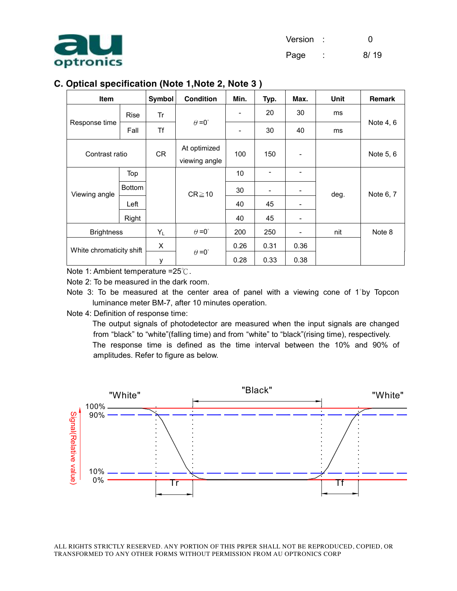

## **C. Optical specification (Note 1,Note 2, Note 3 )**

| Item                     |               | <b>Symbol</b> | <b>Condition</b>              | Min.                     | Typ.                     | Max.           | Unit | Remark    |
|--------------------------|---------------|---------------|-------------------------------|--------------------------|--------------------------|----------------|------|-----------|
|                          | <b>Rise</b>   | Tr            |                               | $\overline{\phantom{a}}$ | 20                       | 30             | ms   |           |
| Response time            | Fall          | Τf            | $\theta = 0^{\circ}$          | -                        | 30                       | 40             | ms   | Note 4, 6 |
| Contrast ratio           |               | <b>CR</b>     | At optimized<br>viewing angle | 100                      | 150                      |                |      | Note 5, 6 |
|                          | Top           |               |                               | 10                       | $\overline{\phantom{0}}$ | $\overline{a}$ |      |           |
| Viewing angle            | <b>Bottom</b> |               | $CR \ge 10$                   | 30                       | -                        |                | deg. | Note 6, 7 |
|                          | Left          |               |                               | 40                       | 45                       |                |      |           |
|                          | Right         |               |                               | 40                       | 45                       |                |      |           |
| <b>Brightness</b>        |               | $Y_L$         | $\theta = 0^{\circ}$          | 200                      | 250                      |                | nit  | Note 8    |
| White chromaticity shift |               | X             |                               | 0.26                     | 0.31                     | 0.36           |      |           |
|                          |               | у             | $\theta = 0^{\circ}$          | 0.28                     | 0.33                     | 0.38           |      |           |

Note 1: Ambient temperature =25℃.

Note 2: To be measured in the dark room.

Note 3: To be measured at the center area of panel with a viewing cone of 1°by Topcon luminance meter BM-7, after 10 minutes operation.

Note 4: Definition of response time:

The output signals of photodetector are measured when the input signals are changed from "black" to "white"(falling time) and from "white" to "black"(rising time), respectively. The response time is defined as the time interval between the 10% and 90% of amplitudes. Refer to figure as below.

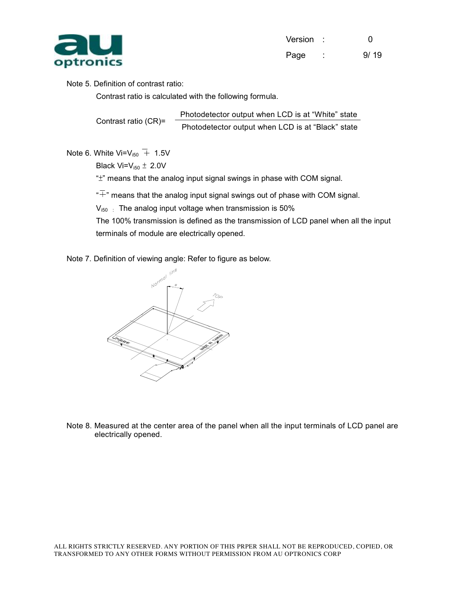

| Version : |        | O    |
|-----------|--------|------|
| Page      | ٠<br>٠ | 9/19 |

#### Note 5. Definition of contrast ratio:

Contrast ratio is calculated with the following formula.

Contrast ratio (CR)= Photodetector output when LCD is at "White" state Photodetector output when LCD is at "Black" state

Note 6. White Vi= $V_{150}$  + 1.5V

Black  $Vi=V_{150} \pm 2.0V$ 

 $H^*$ " means that the analog input signal swings in phase with COM signal.

 $\overline{a}^*$  means that the analog input signal swings out of phase with COM signal.

 $V_{i50}$ : The analog input voltage when transmission is 50%

The 100% transmission is defined as the transmission of LCD panel when all the input terminals of module are electrically opened.

Note 7. Definition of viewing angle: Refer to figure as below.



Note 8. Measured at the center area of the panel when all the input terminals of LCD panel are electrically opened.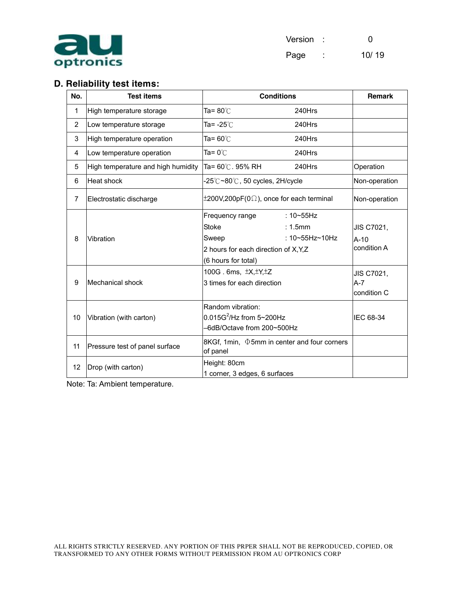

| Version |   | O     |
|---------|---|-------|
| Page    | ٠ | 10/19 |

# **D. Reliability test items:**

| No. | <b>Test items</b>                  | <b>Conditions</b>                                                                                        |                                                                     | <b>Remark</b>                       |
|-----|------------------------------------|----------------------------------------------------------------------------------------------------------|---------------------------------------------------------------------|-------------------------------------|
| 1   | High temperature storage           | Ta= $80^{\circ}$ C                                                                                       | 240Hrs                                                              |                                     |
| 2   | Low temperature storage            | Ta= -25℃                                                                                                 | 240Hrs                                                              |                                     |
| 3   | High temperature operation         | Ta= 60 $\degree$ C                                                                                       | 240Hrs                                                              |                                     |
| 4   | Low temperature operation          | Ta= $0^{\circ}$ C                                                                                        | 240Hrs                                                              |                                     |
| 5   | High temperature and high humidity | Ta= 60℃. 95% RH                                                                                          | 240Hrs                                                              | Operation                           |
| 6   | Heat shock                         | $-25^{\circ}$ C $\sim$ 80 $^{\circ}$ C, 50 cycles, 2H/cycle                                              |                                                                     | Non-operation                       |
| 7   | Electrostatic discharge            | $\pm 200V, 200pF(0\Omega)$ , once for each terminal                                                      | Non-operation                                                       |                                     |
| 8   | Vibration                          | Frequency range<br><b>Stoke</b><br>Sweep<br>2 hours for each direction of X, Y, Z<br>(6 hours for total) | $:10 \rightarrow 55 Hz$<br>$: 1.5$ mm<br>: $10 - 55$ Hz $\sim$ 10Hz | JIS C7021,<br>$A-10$<br>condition A |
| 9   | Mechanical shock                   | 100G. 6ms, $\pm X, \pm Y, \pm Z$<br>3 times for each direction                                           | JIS C7021,<br>$A - 7$<br>condition C                                |                                     |
| 10  | Vibration (with carton)            | Random vibration:<br>0.015G <sup>2</sup> /Hz from 5~200Hz<br>-6dB/Octave from 200~500Hz                  | IEC 68-34                                                           |                                     |
| 11  | Pressure test of panel surface     | 8KGf, 1min, $\Phi$ 5mm in center and four corners<br>of panel                                            |                                                                     |                                     |
| 12  | Drop (with carton)                 | Height: 80cm<br>1 corner, 3 edges, 6 surfaces                                                            |                                                                     |                                     |

Note: Ta: Ambient temperature.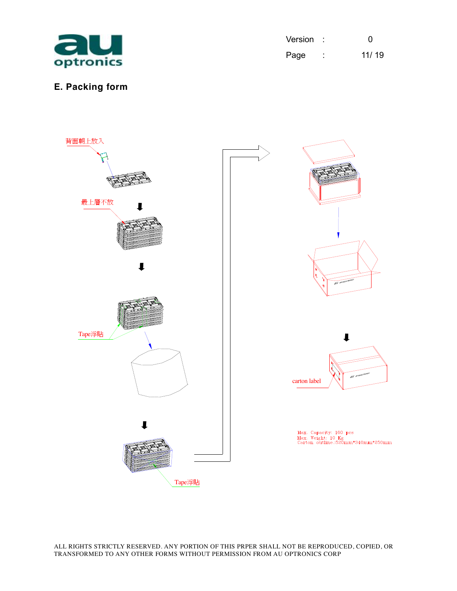

| Version |   | O     |
|---------|---|-------|
| Page    | ٠ | 11/19 |

# **E. Packing form**

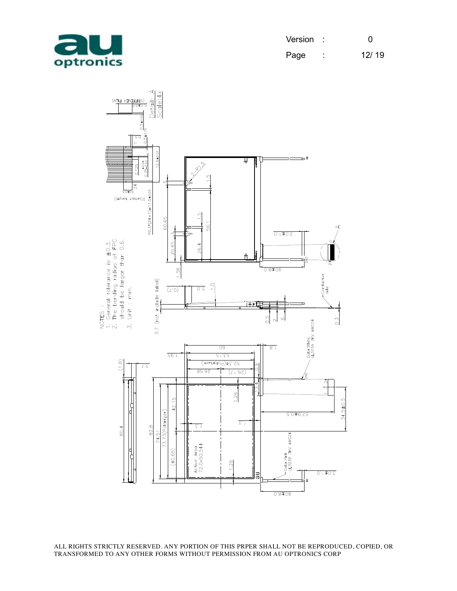

| Version : |   | O     |
|-----------|---|-------|
| Page      | ٠ | 12/19 |

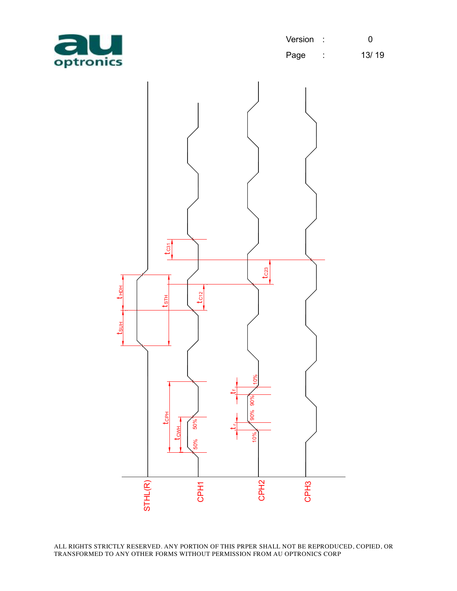

| Version |        | O     |
|---------|--------|-------|
| Page    | ٠<br>٠ | 13/19 |

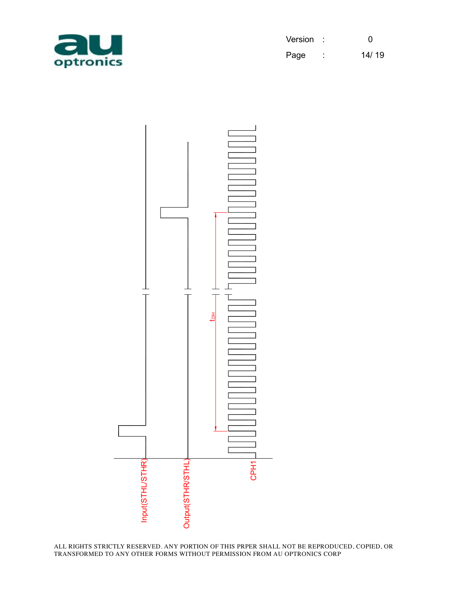

| Version |        | 0     |
|---------|--------|-------|
| Page    | ٠<br>٠ | 14/19 |

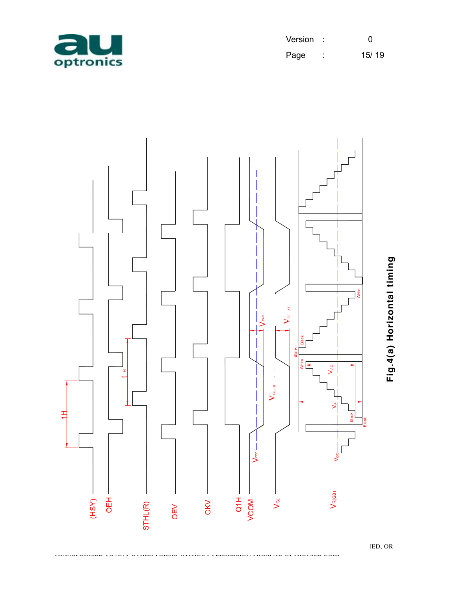

| Version |        | O     |
|---------|--------|-------|
| Page    | ٠<br>٠ | 15/19 |



**Fig.4(a) H oriz o ntal timin g**

TRANSFORMED TO ANY OTHER FORMS WITHOUT PERMISSION FROM AU OPTRONICS CORP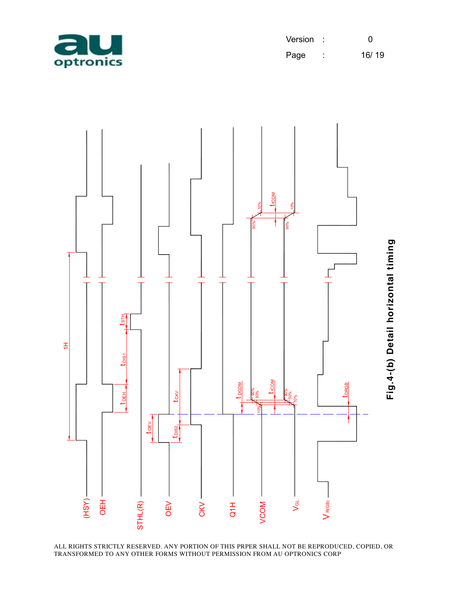

| Version |        | ი     |
|---------|--------|-------|
| Page    | ٠<br>٠ | 16/19 |

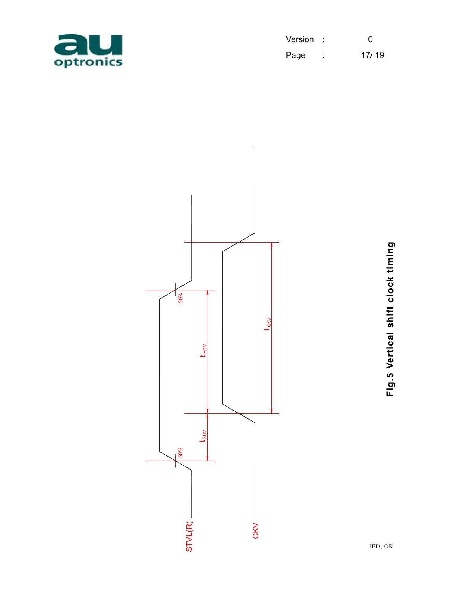

| Version |   | O     |
|---------|---|-------|
| Page    | ٠ | 17/19 |



**Fig.5 V ertic al s hift clo c k timin g**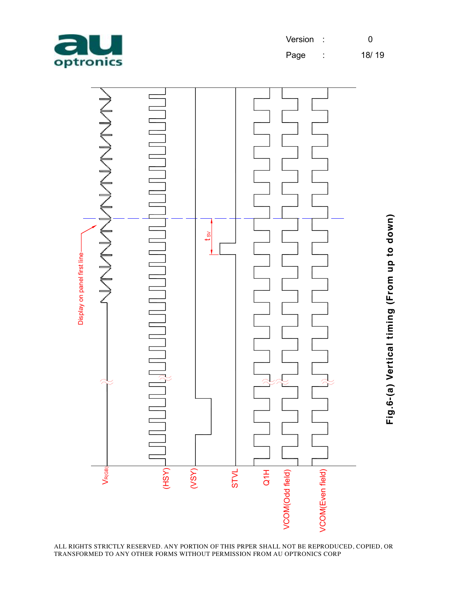

| Version | O     |
|---------|-------|
| - - -   | 10110 |

Page : 18/ 19